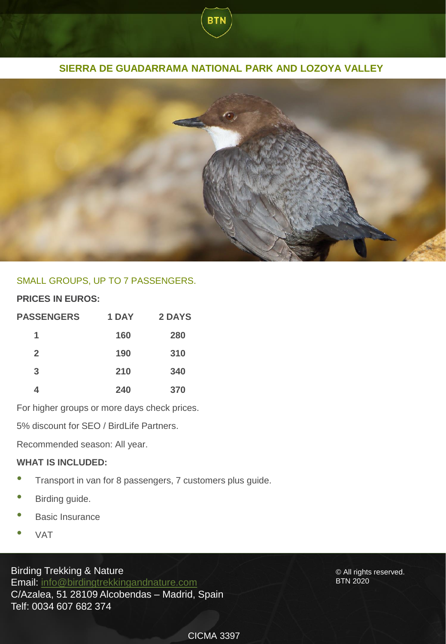# **SIERRA DE GUADARRAMA NATIONAL PARK AND LOZOYA VALLEY**

**BTN** 



## SMALL GROUPS, UP TO 7 PASSENGERS.

## **PRICES IN EUROS:**

| <b>PASSENGERS</b> | 1 DAY | 2 DAYS |
|-------------------|-------|--------|
| 1                 | 160   | 280    |
| $\overline{2}$    | 190   | 310    |
| 3                 | 210   | 340    |
| 4                 | 240   | 370    |

For higher groups or more days check prices.

5% discount for SEO / BirdLife Partners.

Recommended season: All year.

#### **WHAT IS INCLUDED:**

- Transport in van for <sup>8</sup> passengers, <sup>7</sup> customers plus guide.
- Birding guide.
- **Basic Insurance**
- VAT

Birding Trekking & Nature Email: [info@birdingtrekkingandnature.com](mailto:info@birdingtrekkingandnature.com) C/Azalea, 51 28109 Alcobendas – Madrid, Spain Telf: 0034 607 682 374

© All rights reserved. BTN 2020

### CICMA 3397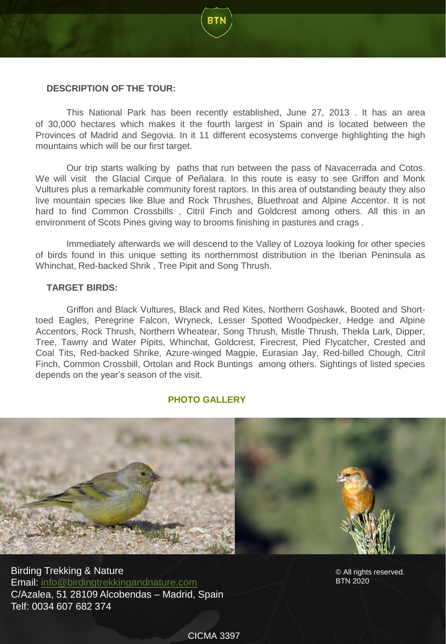### **DESCRIPTION OF THE TOUR:**

This National Park has been recently established, June 27, 2013 . It has an area of 30,000 hectares which makes it the fourth largest in Spain and is located between the Provinces of Madrid and Segovia. In it 11 different ecosystems converge highlighting the high mountains which will be our first target.

Our trip starts walking by paths that run between the pass of Navacerrada and Cotos. We will visit the Glacial Cirque of Peñalara. In this route is easy to see Griffon and Monk Vultures plus a remarkable community forest raptors. In this area of outstanding beauty they also live mountain species like Blue and Rock Thrushes, Bluethroat and Alpine Accentor. It is not hard to find Common Crossbills , Citril Finch and Goldcrest among others. All this in an environment of Scots Pines giving way to brooms finishing in pastures and crags .

Immediately afterwards we will descend to the Valley of Lozoya looking for other species of birds found in this unique setting its northernmost distribution in the Iberian Peninsula as Whinchat, Red-backed Shrik , Tree Pipit and Song Thrush.

#### **TARGET BIRDS:**

Griffon and Black Vultures, Black and Red Kites, Northern Goshawk, Booted and Shorttoed Eagles, Peregrine Falcon, Wryneck, Lesser Spotted Woodpecker, Hedge and Alpine Accentors, Rock Thrush, Northern Wheatear, Song Thrush, Mistle Thrush, Thekla Lark, Dipper, Tree, Tawny and Water Pipits, Whinchat, Goldcrest, Firecrest, Pied Flycatcher, Crested and Coal Tits, Red-backed Shrike, Azure-winged Magpie, Eurasian Jay, Red-billed Chough, Citril Finch, Common Crossbill, Ortolan and Rock Buntings among others. Sightings of listed species depends on the year's season of the visit.

## **PHOTO GALLERY**



Birding Trekking & Nature Email: [info@birdingtrekkingandnature.com](mailto:info@birdingtrekkingandnature.com) C/Azalea, 51 28109 Alcobendas – Madrid, Spain Telf: 0034 607 682 374

© All rights reserved. BTN 2020

CICMA 3397